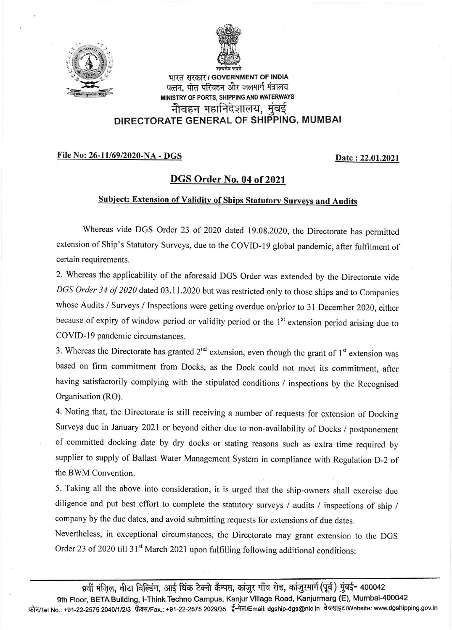



भारत सरकार*।* GOVERNMENT OF INDIA पत्तन, पोत परिवहन और जलमार्ग मंत्रालय MINISTRY OF PORTS, SHIPPING AND WATERWAYS नौवहन महानिदेशालय, मुंबई DIRECTORATE GENERAL OF SHIPPING, MUMBAI

## File No: 26-11/69/2020-NA - DGS Date : 22.01.2021

## DGS Order No. 04 of 2021

## Subject: Extension of Validity of Ships Statutory Surveys and Audits

Whereas vide DGS Order 23 of 2020 dated 19.08.2020, the Directorate has permitted extension of Ship's Statutory Surveys, due to the COVID-19 global pandemic, after fulfilment of certain requirements.

2. Whereas the applicability of the aforesaid DGS Order was extended by the Directorate vide DGS Order 34 of 2020 dated 03.11.2020 but was restricted only to those ships and to Companies whose Audits / Surveys / Inspections were getting overdue on/prior to 3l December 2020, either because of expiry of window period or validity period or the 1<sup>st</sup> extension period arising due to COVID-19 pandemic circumstances.

3. Whereas the Directorate has granted  $2<sup>nd</sup>$  extension, even though the grant of  $1<sup>st</sup>$  extension was based on firm commitment from Docks, as the Dock could not meet its commitment, after having satisfactorily complying with the stipulated conditions / inspections by the Recognised Organisation (RO).

4. Noting that, the Directorate is still receiving a number of requests for extension of Docking Surveys due in January 2021 or beyond either due to non-availability of Docks / postponement of committed docking date by dry docks or stating reasons such as extra time required by supplier to supply of Ballast water Management system in compliance with Regulation D-2 of the BWM Convention.

5. Taking all the above into consideration, it is urged that the ship-owners shall exercise due diligence and put best effort to complete the statutory surveys / audits / inspections of ship / company by the due dates, and avoid submitting requests for extensions of due dates.

Nevertheless, in exceptional circumstances, the Directorate may grant extension to the DGS Order 23 of 2020 till 31<sup>st</sup> March 2021 upon fulfilling following additional conditions:

9वीं मंजिल, बीटा बिल्डिंग, आई थिंक टेक्नो कैम्पस, कांजुर गाँव रोड, कांजुरमार्ग (पूर्व) मुंबई- 400042 9th Floor, BETA Building, I-Think Techno Campus, Kanjur Village Road, Kanjurmarg (E), Mumbai-400042 फ़ोन/Tel No.: +91-22-2575 2040/1/2/3 फ़ैक्स/Fax.: +91-22-2575 2029/35 ई-मेल/Email: dgship-dgs@nic.in वेबसाइट/Website: www.dgshipping.gov.in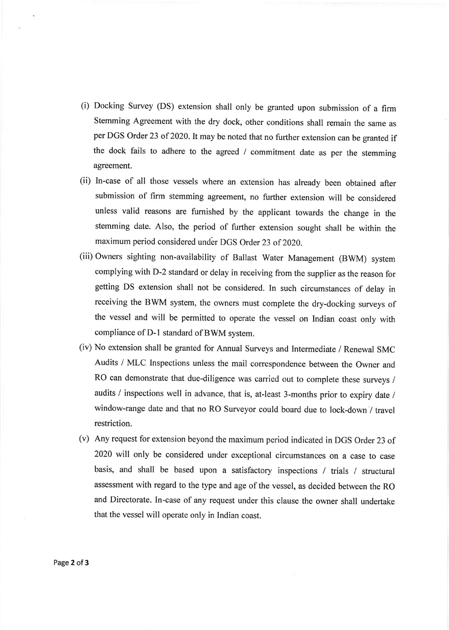- (i) Docking Survey (DS) extension shalt only be granted upon submission of a firm Stemming Agreement with the dry dock, other conditions shall remain the same as per DGS Order 23 of 2020. It may be noted that no further extension can be granted if the dock fails to adhere to the agreed / commitment date as per the stemming agreement.
- (ii) In-case of all those vessels where an extension has already been obtained alter submission of firm stemming agreement, no further extension will be considered unless valid reasons are fumished by the applicant towards the change in the stemming date. Also, the period of further extension sought shall be within the maximum period considered under DGS Order 23 of 2020.
- (iii) Owners sighting non-availability of Ballast Water Management (BWM) system complying with D-2 standard or delay in receiving from the supplier as the reason for getting DS extension shall not be considered. In such circumstances of delay in receiving the BWM system, the owners must complete the dry-docking surveys of the vessel and will be permitted to operate the vessel on Indian coast only with compliance of D-l standard of BWM system.
- (iv) No extension shall be granted for Annual Surveys and Intermediate / Renewal SMC Audits / MLC Inspections unless the mail correspondence between the Owner and RO can demonstrate that due-diligence was carried out to complete these surveys / audits / inspections well in advance, that is, at-least 3-months prior to expiry date / window-range date and that no RO Surveyor could board due to lock-down / travel restriction.
- (v) Any request for extension beyond the maximum period indicated in DGS Order 23 of <sup>2020</sup>will only be considered under exceptional circumstances on a case to case basis, and shall be based upon a satisfactory inspections / trials / structural assessment with regard to the type and age of the vessel, as decided between the RO and Directorate. In-case of any request under this clause the owner shall undertake that the vessel will operate only in Indian coast.

Page 2 of 3